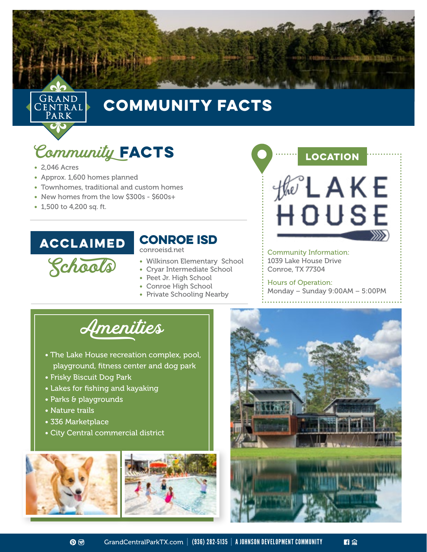



## COMMUNITY FACTS

# Community FACTS

- 2,046 Acres
- Approx. 1,600 homes planned
- Townhomes, traditional and custom homes
- New homes from the low \$300s \$600s+
- 1,500 to 4,200 sq. ft.

#### ACCLAIMED

### Conroe ISD

conroeisd.net

- Schools • Wilkinson Elementary School
	- Cryar Intermediate School • Peet Jr. High School
	- Conroe High School
	-
	- Private Schooling Nearby



Community Information: 1039 Lake House Drive Conroe, TX 77304

Hours of Operation: Monday – Sunday 9:00AM – 5:00PM



- The Lake House recreation complex, pool, playground, fitness center and dog park
- Frisky Biscuit Dog Park
- Lakes for fishing and kayaking
- Parks & playgrounds
- Nature trails
- 336 Marketplace
- City Central commercial district